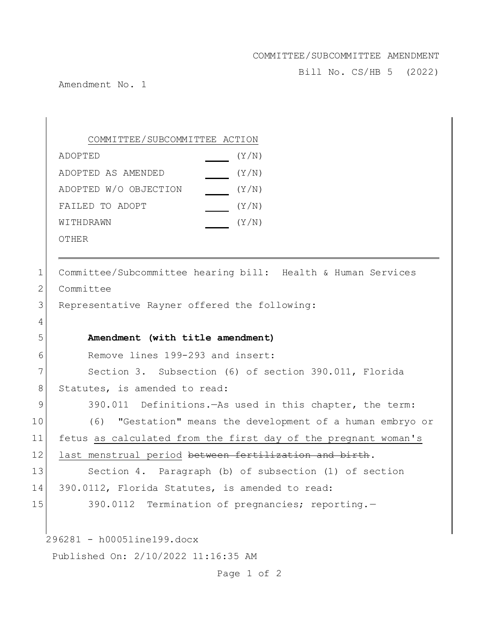## COMMITTEE/SUBCOMMITTEE AMENDMENT

Bill No. CS/HB 5 (2022)

Amendment No. 1

COMMITTEE/SUBCOMMITTEE ACTION ADOPTED(Y/N) ADOPTED AS AMENDED(Y/N) ADOPTED W/O OBJECTION (Y/N) FAILED TO ADOPT  $(Y/N)$ WITHDRAWN  $\begin{array}{cc} \text{(Y/N)} \end{array}$ 

OTHER

296281 - h0005line199.docx Published On: 2/10/2022 11:16:35 AM 1 Committee/Subcommittee hearing bill: Health & Human Services 2 Committee 3 Representative Rayner offered the following: 4 5 **Amendment (with title amendment)** 6 Remove lines 199-293 and insert: 7 Section 3. Subsection (6) of section 390.011, Florida 8 Statutes, is amended to read: 9 390.011 Definitions.—As used in this chapter, the term: 10 (6) "Gestation" means the development of a human embryo or 11 fetus as calculated from the first day of the pregnant woman's 12 last menstrual period between fertilization and birth. 13 Section 4. Paragraph (b) of subsection (1) of section 14 390.0112, Florida Statutes, is amended to read: 15 390.0112 Termination of pregnancies; reporting.

Page 1 of 2